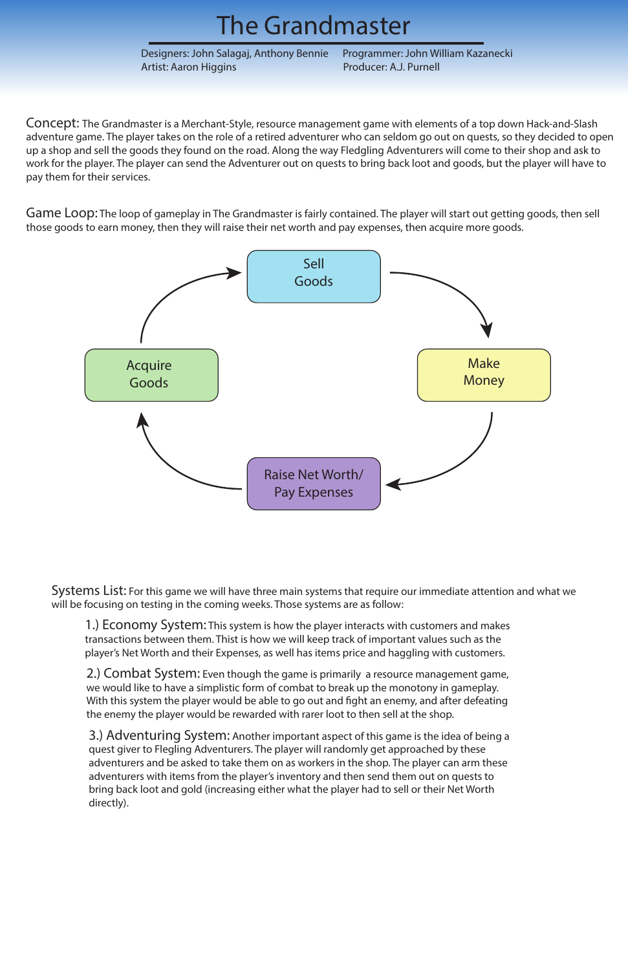### The Grandmaster

Designers: John Salagaj, Anthony Bennie Programmer: John William Kazanecki Artist: Aaron Higgins **Producer: A.J. Purnell** 

Concept: The Grandmaster is a Merchant-Style, resource management game with elements of a top down Hack-and-Slash adventure game. The player takes on the role of a retired adventurer who can seldom go out on quests, so they decided to open up a shop and sell the goods they found on the road. Along the way Fledgling Adventurers will come to their shop and ask to work for the player. The player can send the Adventurer out on quests to bring back loot and goods, but the player will have to pay them for their services.

Game Loop: The loop of gameplay in The Grandmaster is fairly contained. The player will start out getting goods, then sell those goods to earn money, then they will raise their net worth and pay expenses, then acquire more goods.



Systems List: For this game we will have three main systems that require our immediate attention and what we will be focusing on testing in the coming weeks. Those systems are as follow:

1.) Economy System: This system is how the player interacts with customers and makes transactions between them. Thist is how we will keep track of important values such as the player's Net Worth and their Expenses, as well has items price and haggling with customers.

2.) Combat System: Even though the game is primarily a resource management game, we would like to have a simplistic form of combat to break up the monotony in gameplay. With this system the player would be able to go out and fight an enemy, and after defeating the enemy the player would be rewarded with rarer loot to then sell at the shop.

3.) Adventuring System: Another important aspect of this game is the idea of being a quest giver to Flegling Adventurers. The player will randomly get approached by these adventurers and be asked to take them on as workers in the shop. The player can arm these adventurers with items from the player's inventory and then send them out on quests to bring back loot and gold (increasing either what the player had to sell or their Net Worth directly).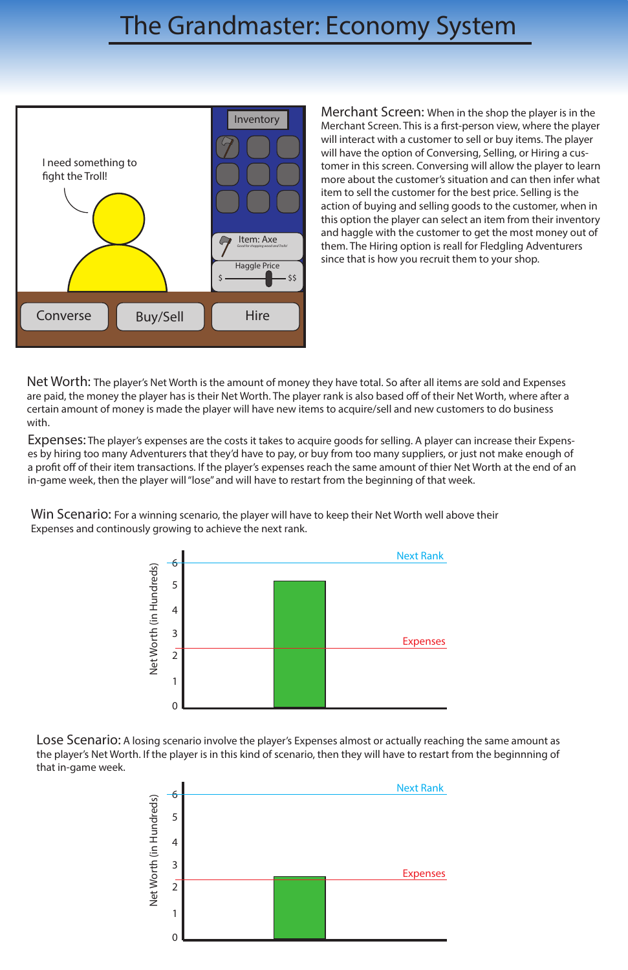# The Grandmaster: Economy System

Merchant Screen: When in the shop the player is in the Merchant Screen. This is a first-person view, where the player will interact with a customer to sell or buy items. The player will have the option of Conversing, Selling, or Hiring a customer in this screen. Conversing will allow the player to learn more about the customer's situation and can then infer what item to sell the customer for the best price. Selling is the action of buying and selling goods to the customer, when in this option the player can select an item from their inventory and haggle with the customer to get the most money out of them. The Hiring option is reall for Fledgling Adventurers since that is how you recruit them to your shop.

Net Worth: The player's Net Worth is the amount of money they have total. So after all items are sold and Expenses are paid, the money the player has is their Net Worth. The player rank is also based off of their Net Worth, where after a certain amount of money is made the player will have new items to acquire/sell and new customers to do business with.



Win Scenario: For a winning scenario, the player will have to keep their Net Worth well above their Expenses and continously growing to achieve the next rank.

Expenses: The player's expenses are the costs it takes to acquire goods for selling. A player can increase their Expenses by hiring too many Adventurers that they'd have to pay, or buy from too many suppliers, or just not make enough of a profit off of their item transactions. If the player's expenses reach the same amount of thier Net Worth at the end of an in-game week, then the player will "lose" and will have to restart from the beginning of that week.





Lose Scenario: A losing scenario involve the player's Expenses almost or actually reaching the same amount as the player's Net Worth. If the player is in this kind of scenario, then they will have to restart from the beginnning of that in-game week.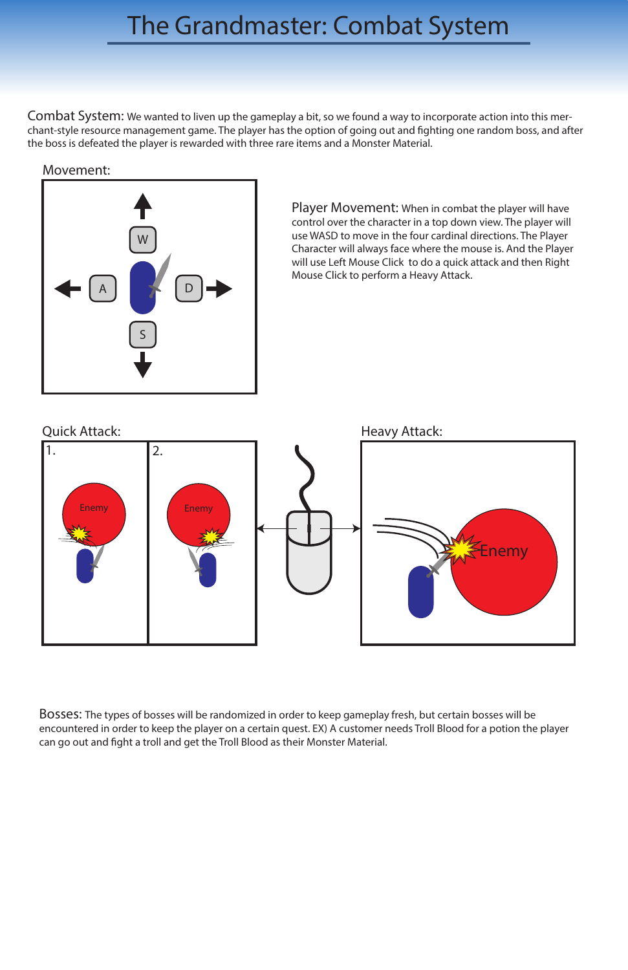### The Grandmaster: Combat System

Combat System: We wanted to liven up the gameplay a bit, so we found a way to incorporate action into this merchant-style resource management game. The player has the option of going out and fighting one random boss, and after the boss is defeated the player is rewarded with three rare items and a Monster Material.

> Player Movement: When in combat the player will have control over the character in a top down view. The player will use WASD to move in the four cardinal directions. The Player Character will always face where the mouse is. And the Player will use Left Mouse Click to do a quick attack and then Right Mouse Click to perform a Heavy Attack.

Bosses: The types of bosses will be randomized in order to keep gameplay fresh, but certain bosses will be encountered in order to keep the player on a certain quest. EX) A customer needs Troll Blood for a potion the player can go out and fight a troll and get the Troll Blood as their Monster Material.